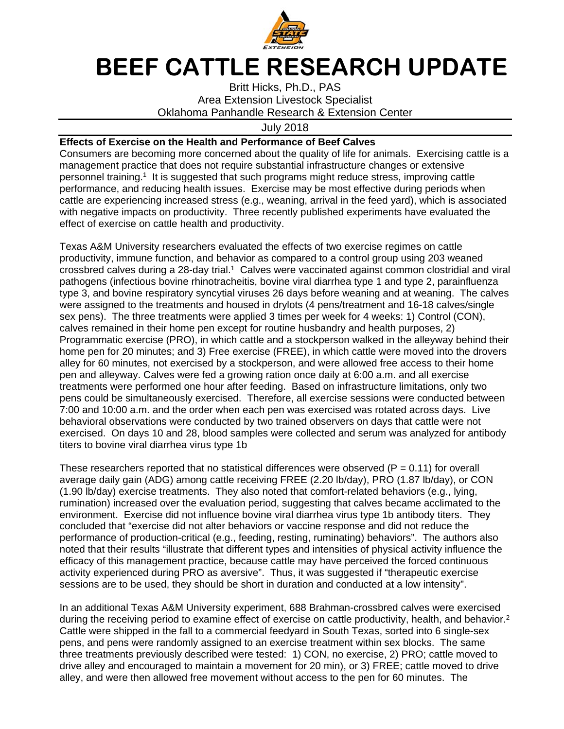

## **BEEF CATTLE RESEARCH UPDATE**

Britt Hicks, Ph.D., PAS Area Extension Livestock Specialist Oklahoma Panhandle Research & Extension Center

July 2018

## **Effects of Exercise on the Health and Performance of Beef Calves**

Consumers are becoming more concerned about the quality of life for animals. Exercising cattle is a management practice that does not require substantial infrastructure changes or extensive personnel training.1 It is suggested that such programs might reduce stress, improving cattle performance, and reducing health issues. Exercise may be most effective during periods when cattle are experiencing increased stress (e.g., weaning, arrival in the feed yard), which is associated with negative impacts on productivity. Three recently published experiments have evaluated the effect of exercise on cattle health and productivity.

Texas A&M University researchers evaluated the effects of two exercise regimes on cattle productivity, immune function, and behavior as compared to a control group using 203 weaned crossbred calves during a 28-day trial.<sup>1</sup> Calves were vaccinated against common clostridial and viral pathogens (infectious bovine rhinotracheitis, bovine viral diarrhea type 1 and type 2, parainfluenza type 3, and bovine respiratory syncytial viruses 26 days before weaning and at weaning. The calves were assigned to the treatments and housed in drylots (4 pens/treatment and 16-18 calves/single sex pens). The three treatments were applied 3 times per week for 4 weeks: 1) Control (CON), calves remained in their home pen except for routine husbandry and health purposes, 2) Programmatic exercise (PRO), in which cattle and a stockperson walked in the alleyway behind their home pen for 20 minutes; and 3) Free exercise (FREE), in which cattle were moved into the drovers alley for 60 minutes, not exercised by a stockperson, and were allowed free access to their home pen and alleyway. Calves were fed a growing ration once daily at 6:00 a.m. and all exercise treatments were performed one hour after feeding. Based on infrastructure limitations, only two pens could be simultaneously exercised. Therefore, all exercise sessions were conducted between 7:00 and 10:00 a.m. and the order when each pen was exercised was rotated across days. Live behavioral observations were conducted by two trained observers on days that cattle were not exercised. On days 10 and 28, blood samples were collected and serum was analyzed for antibody titers to bovine viral diarrhea virus type 1b

These researchers reported that no statistical differences were observed ( $P = 0.11$ ) for overall average daily gain (ADG) among cattle receiving FREE (2.20 lb/day), PRO (1.87 lb/day), or CON (1.90 lb/day) exercise treatments. They also noted that comfort-related behaviors (e.g., lying, rumination) increased over the evaluation period, suggesting that calves became acclimated to the environment. Exercise did not influence bovine viral diarrhea virus type 1b antibody titers. They concluded that "exercise did not alter behaviors or vaccine response and did not reduce the performance of production-critical (e.g., feeding, resting, ruminating) behaviors". The authors also noted that their results "illustrate that different types and intensities of physical activity influence the efficacy of this management practice, because cattle may have perceived the forced continuous activity experienced during PRO as aversive". Thus, it was suggested if "therapeutic exercise sessions are to be used, they should be short in duration and conducted at a low intensity".

In an additional Texas A&M University experiment, 688 Brahman-crossbred calves were exercised during the receiving period to examine effect of exercise on cattle productivity, health, and behavior.<sup>2</sup> Cattle were shipped in the fall to a commercial feedyard in South Texas, sorted into 6 single-sex pens, and pens were randomly assigned to an exercise treatment within sex blocks. The same three treatments previously described were tested: 1) CON, no exercise, 2) PRO; cattle moved to drive alley and encouraged to maintain a movement for 20 min), or 3) FREE; cattle moved to drive alley, and were then allowed free movement without access to the pen for 60 minutes. The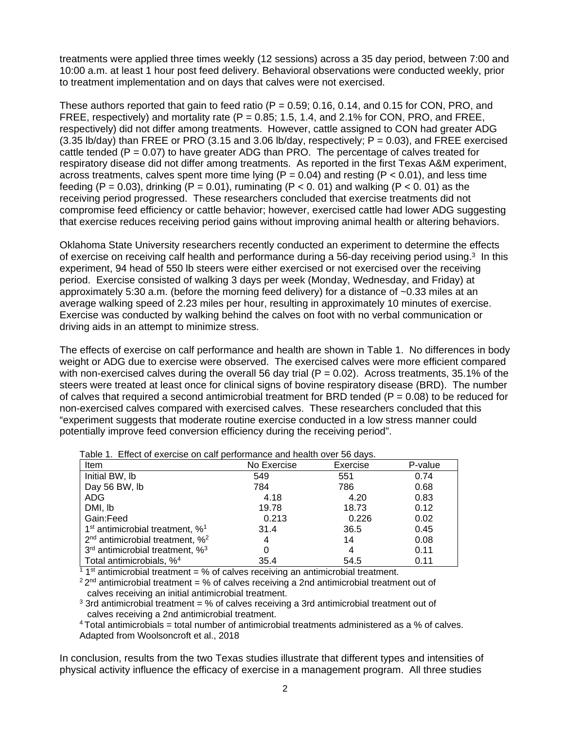treatments were applied three times weekly (12 sessions) across a 35 day period, between 7:00 and 10:00 a.m. at least 1 hour post feed delivery. Behavioral observations were conducted weekly, prior to treatment implementation and on days that calves were not exercised.

These authors reported that gain to feed ratio ( $P = 0.59$ ; 0.16, 0.14, and 0.15 for CON, PRO, and FREE, respectively) and mortality rate ( $P = 0.85$ ; 1.5, 1.4, and 2.1% for CON, PRO, and FREE, respectively) did not differ among treatments. However, cattle assigned to CON had greater ADG  $(3.35 \text{ lb/day})$  than FREE or PRO  $(3.15 \text{ and } 3.06 \text{ lb/day})$ , respectively;  $P = 0.03$ ), and FREE exercised cattle tended ( $P = 0.07$ ) to have greater ADG than PRO. The percentage of calves treated for respiratory disease did not differ among treatments. As reported in the first Texas A&M experiment, across treatments, calves spent more time lying ( $P = 0.04$ ) and resting ( $P < 0.01$ ), and less time feeding  $(P = 0.03)$ , drinking  $(P = 0.01)$ , ruminating  $(P < 0.01)$  and walking  $(P < 0.01)$  as the receiving period progressed. These researchers concluded that exercise treatments did not compromise feed efficiency or cattle behavior; however, exercised cattle had lower ADG suggesting that exercise reduces receiving period gains without improving animal health or altering behaviors.

Oklahoma State University researchers recently conducted an experiment to determine the effects of exercise on receiving calf health and performance during a 56-day receiving period using.3 In this experiment, 94 head of 550 lb steers were either exercised or not exercised over the receiving period. Exercise consisted of walking 3 days per week (Monday, Wednesday, and Friday) at approximately 5:30 a.m. (before the morning feed delivery) for a distance of ~0.33 miles at an average walking speed of 2.23 miles per hour, resulting in approximately 10 minutes of exercise. Exercise was conducted by walking behind the calves on foot with no verbal communication or driving aids in an attempt to minimize stress.

The effects of exercise on calf performance and health are shown in Table 1. No differences in body weight or ADG due to exercise were observed. The exercised calves were more efficient compared with non-exercised calves during the overall 56 day trial  $(P = 0.02)$ . Across treatments, 35.1% of the steers were treated at least once for clinical signs of bovine respiratory disease (BRD). The number of calves that required a second antimicrobial treatment for BRD tended ( $P = 0.08$ ) to be reduced for non-exercised calves compared with exercised calves. These researchers concluded that this "experiment suggests that moderate routine exercise conducted in a low stress manner could potentially improve feed conversion efficiency during the receiving period".

| rable T. Lilect of exercise on call performance and health over 50 days. |             |          |         |
|--------------------------------------------------------------------------|-------------|----------|---------|
| Item                                                                     | No Exercise | Exercise | P-value |
| Initial BW, Ib                                                           | 549         | 551      | 0.74    |
| Day 56 BW, lb                                                            | 784         | 786      | 0.68    |
| ADG.                                                                     | 4.18        | 4.20     | 0.83    |
| DMI, lb                                                                  | 19.78       | 18.73    | 0.12    |
| Gain:Feed                                                                | 0.213       | 0.226    | 0.02    |
| $1st$ antimicrobial treatment, % <sup>1</sup>                            | 31.4        | 36.5     | 0.45    |
| $2nd$ antimicrobial treatment, % <sup>2</sup>                            | 4           | 14       | 0.08    |
| $3rd$ antimicrobial treatment, % $33$                                    | 0           | 4        | 0.11    |
| Total antimicrobials, % <sup>4</sup>                                     | 35.4        | 54.5     | 0.11    |

Table 1. Effect of exercise on calf performance and health over 56 days.

<sup>1</sup> 1<sup>st</sup> antimicrobial treatment = % of calves receiving an antimicrobial treatment.

 $22<sup>nd</sup>$  antimicrobial treatment = % of calves receiving a 2nd antimicrobial treatment out of calves receiving an initial antimicrobial treatment.

 $3$  3rd antimicrobial treatment = % of calves receiving a 3rd antimicrobial treatment out of calves receiving a 2nd antimicrobial treatment.

4 Total antimicrobials = total number of antimicrobial treatments administered as a % of calves. Adapted from Woolsoncroft et al., 2018

In conclusion, results from the two Texas studies illustrate that different types and intensities of physical activity influence the efficacy of exercise in a management program. All three studies